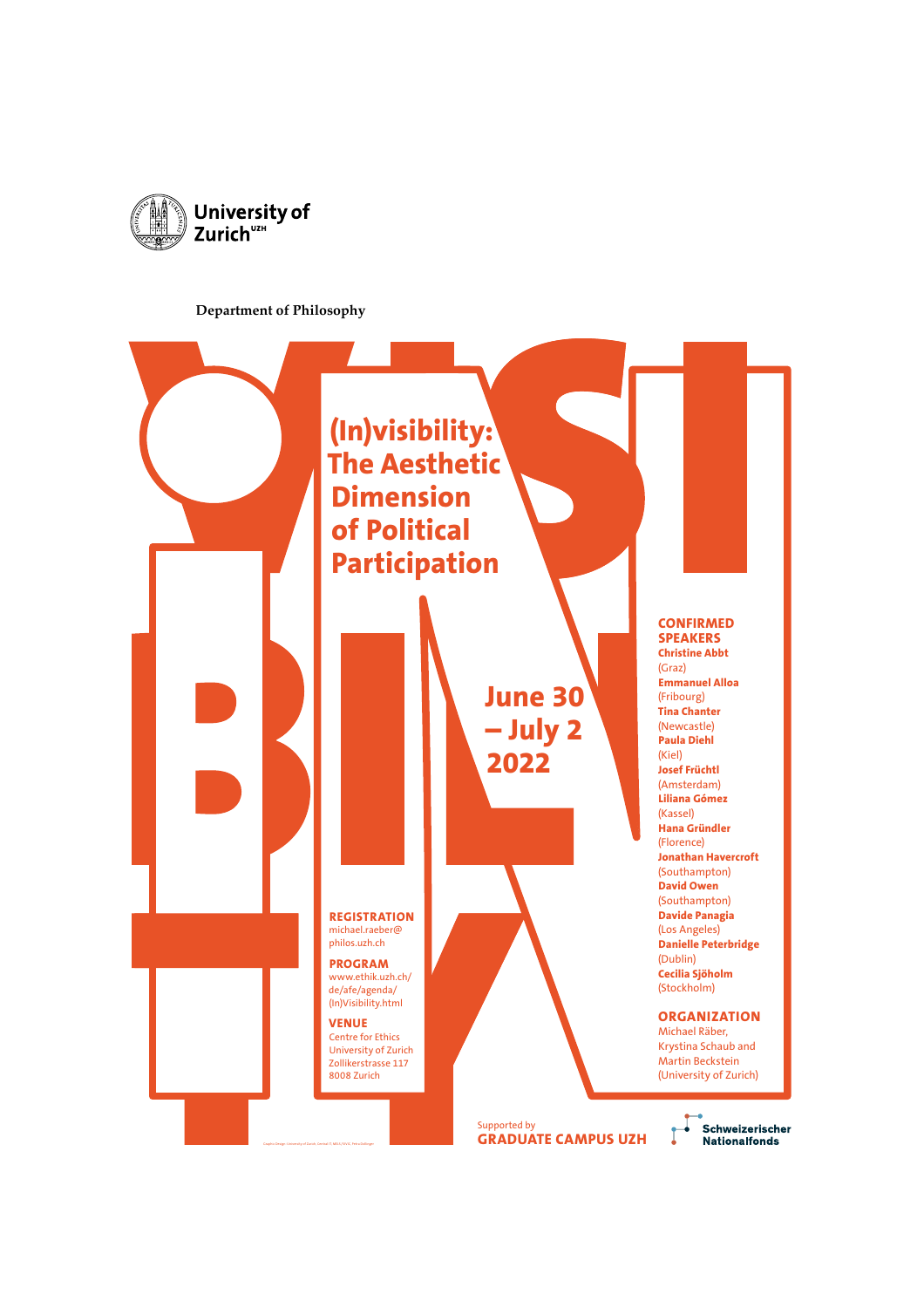

#### **Department of Philosophy**

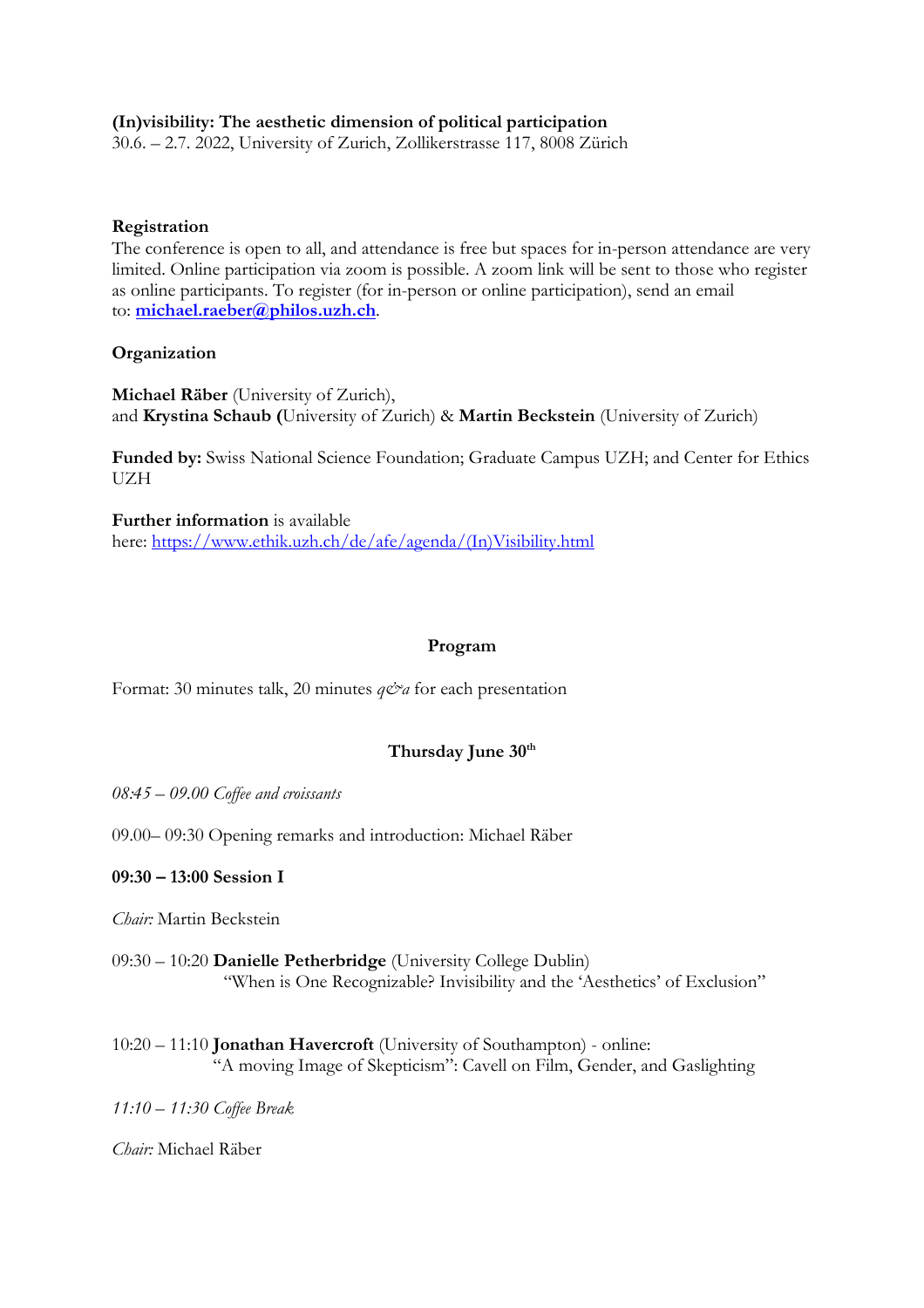## **(In)visibility: The aesthetic dimension of political participation**

30.6. – 2.7. 2022, University of Zurich, Zollikerstrasse 117, 8008 Zürich

#### **Registration**

The conference is open to all, and attendance is free but spaces for in-person attendance are very limited. Online participation via zoom is possible. A zoom link will be sent to those who register as online participants. To register (for in-person or online participation), send an email to: **michael.raeber@philos.uzh.ch**.

## **Organization**

**Michael Räber** (University of Zurich), and **Krystina Schaub (**University of Zurich) & **Martin Beckstein** (University of Zurich)

**Funded by:** Swiss National Science Foundation; Graduate Campus UZH; and Center for Ethics UZH

**Further information** is available here: https://www.ethik.uzh.ch/de/afe/agenda/(In)Visibility.html

## **Program**

Format: 30 minutes talk, 20 minutes  $q\mathcal{O}a$  for each presentation

# **Thursday June 30th**

*08:45 – 09.00 Coffee and croissants*

09.00– 09:30 Opening remarks and introduction: Michael Räber

#### **09:30 – 13:00 Session I**

*Chair:* Martin Beckstein

- 09:30 10:20 **Danielle Petherbridge** (University College Dublin) "When is One Recognizable? Invisibility and the 'Aesthetics' of Exclusion"
- 10:20 11:10 **Jonathan Havercroft** (University of Southampton) online: "A moving Image of Skepticism": Cavell on Film, Gender, and Gaslighting

*11:10 – 11:30 Coffee Break*

*Chair:* Michael Räber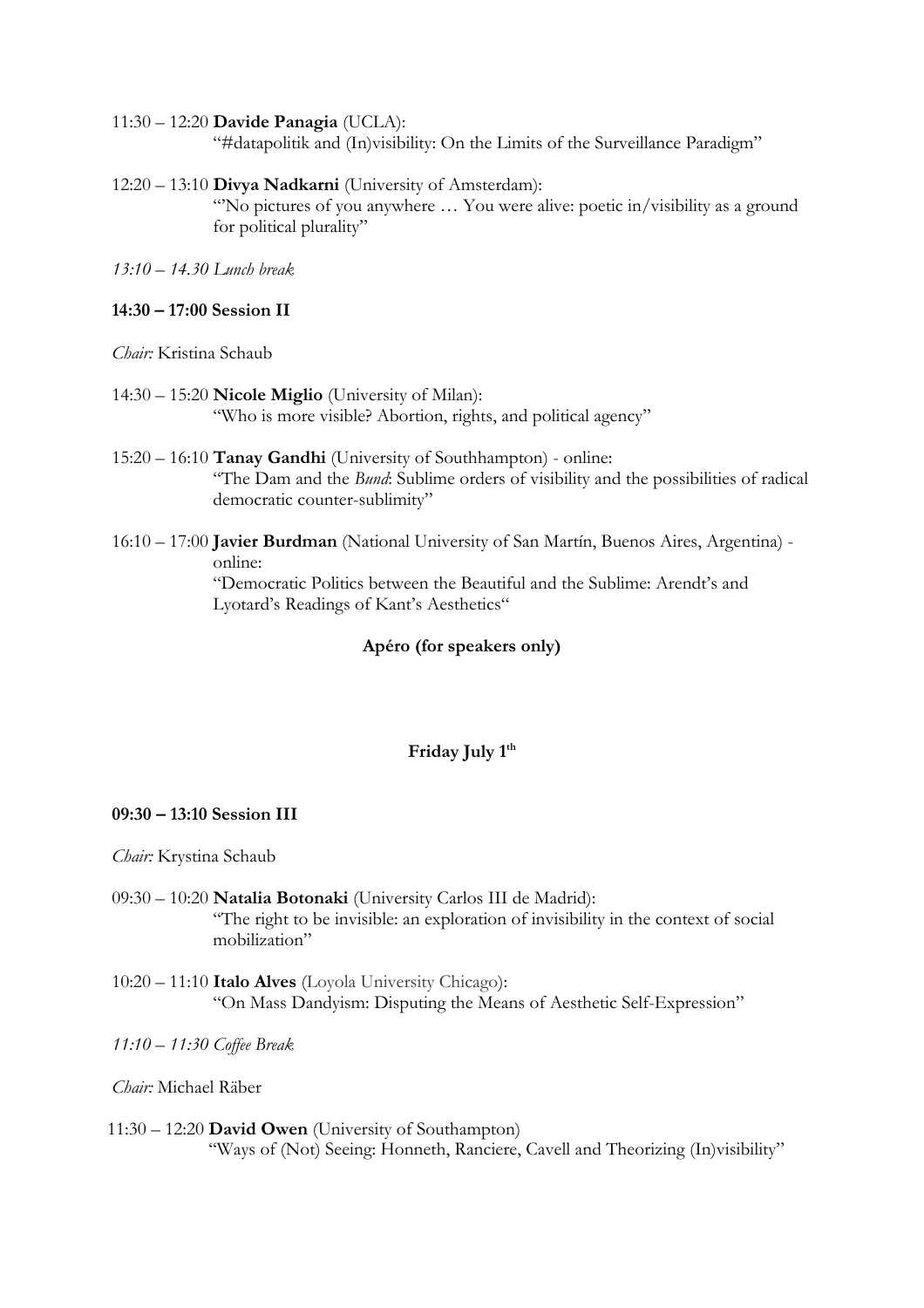#### 11:30 – 12:20 **Davide Panagia** (UCLA):

"#datapolitik and (In)visibility: On the Limits of the Surveillance Paradigm"

#### 12:20 – 13:10 **Divya Nadkarni** (University of Amsterdam):

"'No pictures of you anywhere … You were alive: poetic in/visibility as a ground for political plurality"

*13:10 – 14.30 Lunch break*

#### **14:30 – 17:00 Session II**

*Chair:* Kristina Schaub

14:30 – 15:20 **Nicole Miglio** (University of Milan): "Who is more visible? Abortion, rights, and political agency"

- 15:20 16:10 **Tanay Gandhi** (University of Southhampton) online: "The Dam and the *Bund*: Sublime orders of visibility and the possibilities of radical democratic counter-sublimity"
- 16:10 17:00 **Javier Burdman** (National University of San Martín, Buenos Aires, Argentina) online: "Democratic Politics between the Beautiful and the Sublime: Arendt's and Lyotard's Readings of Kant's Aesthetics"

## **Apéro (for speakers only)**

#### Friday July 1<sup>th</sup>

#### **09:30 – 13:10 Session III**

*Chair:* Krystina Schaub

- 09:30 10:20 **Natalia Botonaki** (University Carlos III de Madrid): "The right to be invisible: an exploration of invisibility in the context of social mobilization"
- 10:20 11:10 **Italo Alves** (Loyola University Chicago): "On Mass Dandyism: Disputing the Means of Aesthetic Self-Expression"

*11:10 – 11:30 Coffee Break*

*Chair:* Michael Räber

11:30 – 12:20 **David Owen** (University of Southampton) "Ways of (Not) Seeing: Honneth, Ranciere, Cavell and Theorizing (In)visibility"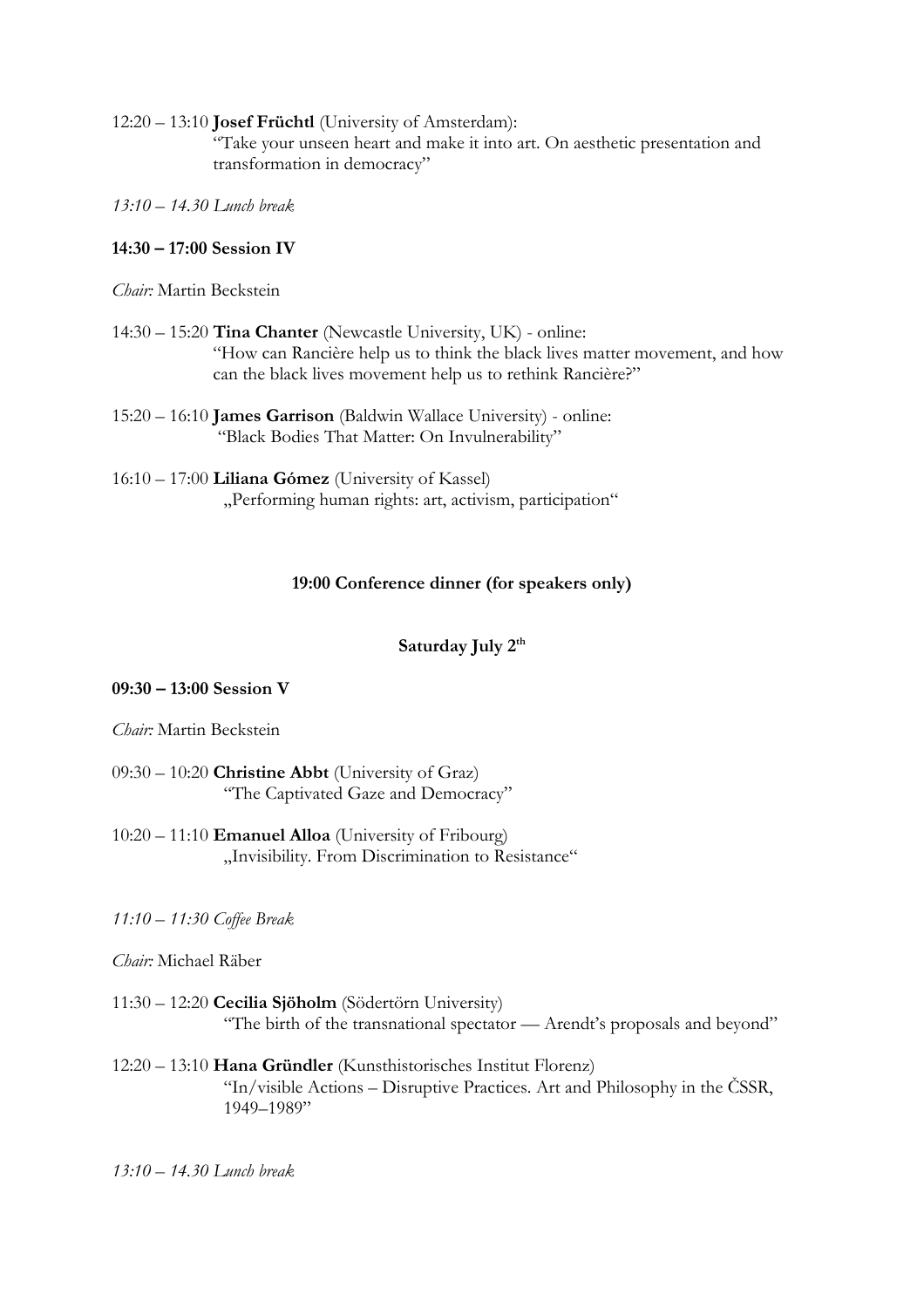12:20 – 13:10 **Josef Früchtl** (University of Amsterdam): "Take your unseen heart and make it into art. On aesthetic presentation and transformation in democracy"

*13:10 – 14.30 Lunch break*

## **14:30 – 17:00 Session IV**

*Chair:* Martin Beckstein

- 14:30 15:20 **Tina Chanter** (Newcastle University, UK) online: "How can Rancière help us to think the black lives matter movement, and how can the black lives movement help us to rethink Rancière?"
- 15:20 16:10 **James Garrison** (Baldwin Wallace University) online: "Black Bodies That Matter: On Invulnerability"
- 16:10 17:00 **Liliana Gómez** (University of Kassel) "Performing human rights: art, activism, participation"

## **19:00 Conference dinner (for speakers only)**

## Saturday July 2<sup>th</sup>

#### **09:30 – 13:00 Session V**

#### *Chair:* Martin Beckstein

- 09:30 10:20 **Christine Abbt** (University of Graz) "The Captivated Gaze and Democracy"
- 10:20 11:10 **Emanuel Alloa** (University of Fribourg) "Invisibility. From Discrimination to Resistance"

#### *11:10 – 11:30 Coffee Break*

#### *Chair:* Michael Räber

- 11:30 12:20 **Cecilia Sjöholm** (Södertörn University) "The birth of the transnational spectator — Arendt's proposals and beyond"
- 12:20 13:10 **Hana Gründler** (Kunsthistorisches Institut Florenz) "In/visible Actions – Disruptive Practices. Art and Philosophy in the ČSSR, 1949–1989"
- *13:10 – 14.30 Lunch break*